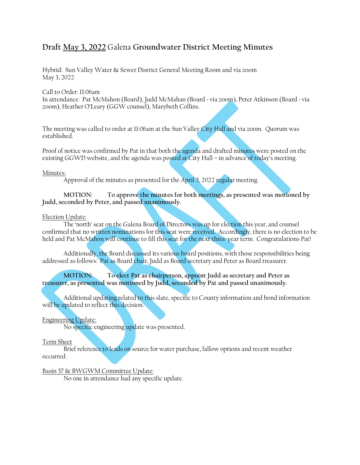# **Draft May 3, 2022** Galena **Groundwater District Meeting Minutes**

Hybrid: Sun Valley Water & Sewer District General Meeting Room and via zoom May 3, 2022

Call to Order: 11:06am

In attendance: Pat McMahon (Board), Judd McMahan (Board ~ via zoom), Peter Atkinson (Board ~ via zoom), Heather O'Leary (GGW counsel), Marybeth Collins.

The meeting was called to order at 11:06am at the Sun Valley City Hall and via zoom. Quorum was established.

Proof of notice was confirmed by Pat in that both the agenda and drafted minutes were posted on the existing GGWD website, and the agenda was posted at City Hall – in advance of today's meeting.

#### Minutes:

Approval of the minutes as presented for the April 5, 2022 regular meeting.

**MOTION: To approve the minutes for both meetings, as presented was motioned by Judd, seconded by Peter, and passed unanimously.**

#### Election Update:

The 'north' seat on the Galena Board of Directors was up for election this year, and counsel confirmed that no written nominations for this seat were received. Accordingly, there is no election to be held and Pat McMahon will continue to fill this seat for the next three-year term. Congratulations Pat!

Additionally, the Board discussed its various board positions, with those responsibilities being addressed as follows: Pat as Board chair, Judd as Board secretary and Peter as Board treasurer.

**MOTION: To elect Pat as chairperson, appoint Judd as secretary and Peter as treasurer, as presented was motioned by Judd, seconded by Pat and passed unanimously.**

Additional updating related to this slate, specific to County information and bond information will be updated to reflect this decision.

# Engineering Update:

No specific engineering update was presented.

#### Term Sheet

Brief reference to leads on source for water purchase, fallow options and recent weather occurred.

# Basin 37 & BWGWM Committee Update:

No one in attendance had any specific update.